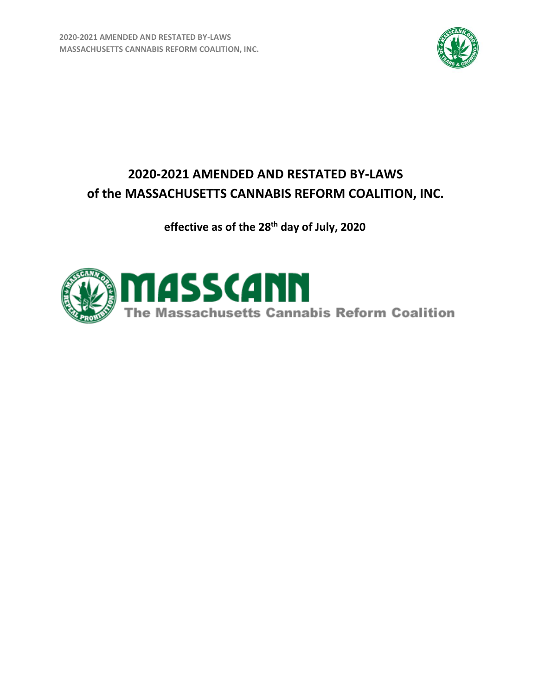**2020-2021 AMENDED AND RESTATED BY-LAWS MASSACHUSETTS CANNABIS REFORM COALITION, INC.**



# **2020-2021 AMENDED AND RESTATED BY-LAWS of the MASSACHUSETTS CANNABIS REFORM COALITION, INC.**

**effective as of the 28th day of July, 2020**

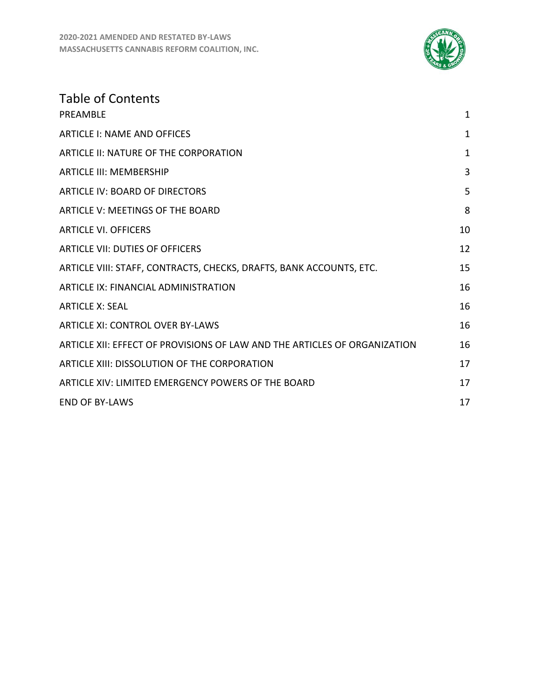

| <b>Table of Contents</b>                                                  |              |
|---------------------------------------------------------------------------|--------------|
| PREAMBLE                                                                  | $\mathbf{1}$ |
| <b>ARTICLE I: NAME AND OFFICES</b>                                        | 1            |
| <b>ARTICLE II: NATURE OF THE CORPORATION</b>                              | $\mathbf{1}$ |
| <b>ARTICLE III: MEMBERSHIP</b>                                            | 3            |
| <b>ARTICLE IV: BOARD OF DIRECTORS</b>                                     | 5            |
| <b>ARTICLE V: MEETINGS OF THE BOARD</b>                                   | 8            |
| <b>ARTICLE VI. OFFICERS</b>                                               | 10           |
| <b>ARTICLE VII: DUTIES OF OFFICERS</b>                                    | 12           |
| ARTICLE VIII: STAFF, CONTRACTS, CHECKS, DRAFTS, BANK ACCOUNTS, ETC.       | 15           |
| <b>ARTICLE IX: FINANCIAL ADMINISTRATION</b>                               | 16           |
| <b>ARTICLE X: SEAL</b>                                                    | 16           |
| <b>ARTICLE XI: CONTROL OVER BY-LAWS</b>                                   | 16           |
| ARTICLE XII: EFFECT OF PROVISIONS OF LAW AND THE ARTICLES OF ORGANIZATION | 16           |
| ARTICLE XIII: DISSOLUTION OF THE CORPORATION                              | 17           |
| ARTICLE XIV: LIMITED EMERGENCY POWERS OF THE BOARD                        | 17           |
| <b>END OF BY-LAWS</b>                                                     | 17           |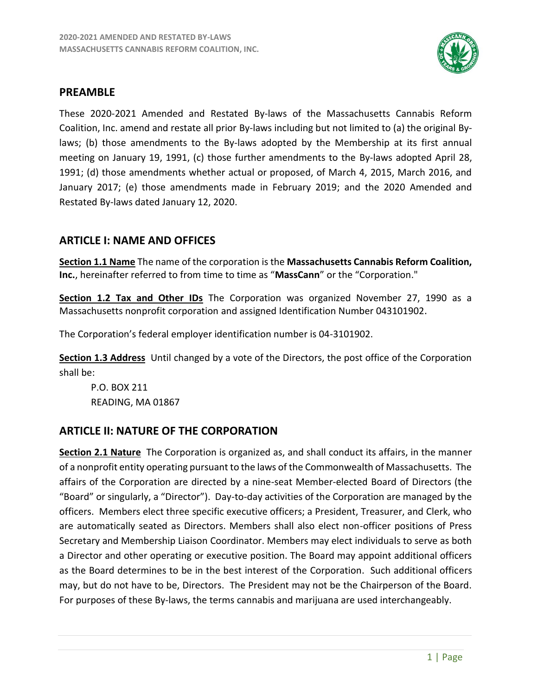

#### <span id="page-2-0"></span>**PREAMBLE**

These 2020-2021 Amended and Restated By-laws of the Massachusetts Cannabis Reform Coalition, Inc. amend and restate all prior By-laws including but not limited to (a) the original Bylaws; (b) those amendments to the By-laws adopted by the Membership at its first annual meeting on January 19, 1991, (c) those further amendments to the By-laws adopted April 28, 1991; (d) those amendments whether actual or proposed, of March 4, 2015, March 2016, and January 2017; (e) those amendments made in February 2019; and the 2020 Amended and Restated By-laws dated January 12, 2020.

# <span id="page-2-1"></span>**ARTICLE I: NAME AND OFFICES**

**Section 1.1 Name** The name of the corporation is the **Massachusetts Cannabis Reform Coalition, Inc.**, hereinafter referred to from time to time as "**MassCann**" or the "Corporation."

**Section 1.2 Tax and Other IDs** The Corporation was organized November 27, 1990 as a Massachusetts nonprofit corporation and assigned Identification Number 043101902.

The Corporation's federal employer identification number is 04-3101902.

**Section 1.3 Address** Until changed by a vote of the Directors, the post office of the Corporation shall be:

P.O. BOX 211 READING, MA 01867

# <span id="page-2-2"></span>**ARTICLE II: NATURE OF THE CORPORATION**

**Section 2.1 Nature** The Corporation is organized as, and shall conduct its affairs, in the manner of a nonprofit entity operating pursuant to the laws of the Commonwealth of Massachusetts. The affairs of the Corporation are directed by a nine-seat Member-elected Board of Directors (the "Board" or singularly, a "Director"). Day-to-day activities of the Corporation are managed by the officers. Members elect three specific executive officers; a President, Treasurer, and Clerk, who are automatically seated as Directors. Members shall also elect non-officer positions of Press Secretary and Membership Liaison Coordinator. Members may elect individuals to serve as both a Director and other operating or executive position. The Board may appoint additional officers as the Board determines to be in the best interest of the Corporation. Such additional officers may, but do not have to be, Directors. The President may not be the Chairperson of the Board. For purposes of these By-laws, the terms cannabis and marijuana are used interchangeably.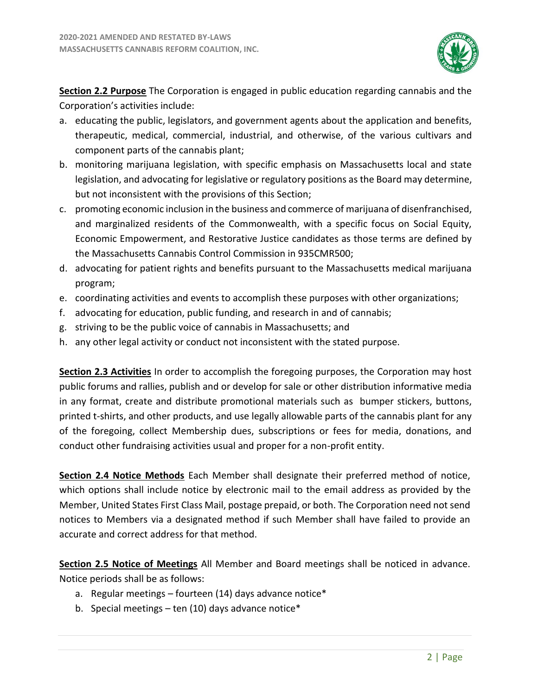

**Section 2.2 Purpose** The Corporation is engaged in public education regarding cannabis and the Corporation's activities include:

- a. educating the public, legislators, and government agents about the application and benefits, therapeutic, medical, commercial, industrial, and otherwise, of the various cultivars and component parts of the cannabis plant;
- b. monitoring marijuana legislation, with specific emphasis on Massachusetts local and state legislation, and advocating for legislative or regulatory positions as the Board may determine, but not inconsistent with the provisions of this Section;
- c. promoting economic inclusion in the business and commerce of marijuana of disenfranchised, and marginalized residents of the Commonwealth, with a specific focus on Social Equity, Economic Empowerment, and Restorative Justice candidates as those terms are defined by the Massachusetts Cannabis Control Commission in 935CMR500;
- d. advocating for patient rights and benefits pursuant to the Massachusetts medical marijuana program;
- e. coordinating activities and events to accomplish these purposes with other organizations;
- f. advocating for education, public funding, and research in and of cannabis;
- g. striving to be the public voice of cannabis in Massachusetts; and
- h. any other legal activity or conduct not inconsistent with the stated purpose.

**Section 2.3 Activities** In order to accomplish the foregoing purposes, the Corporation may host public forums and rallies, publish and or develop for sale or other distribution informative media in any format, create and distribute promotional materials such as bumper stickers, buttons, printed t-shirts, and other products, and use legally allowable parts of the cannabis plant for any of the foregoing, collect Membership dues, subscriptions or fees for media, donations, and conduct other fundraising activities usual and proper for a non-profit entity.

**Section 2.4 Notice Methods** Each Member shall designate their preferred method of notice, which options shall include notice by electronic mail to the email address as provided by the Member, United States First Class Mail, postage prepaid, or both. The Corporation need not send notices to Members via a designated method if such Member shall have failed to provide an accurate and correct address for that method.

**Section 2.5 Notice of Meetings** All Member and Board meetings shall be noticed in advance. Notice periods shall be as follows:

- a. Regular meetings fourteen (14) days advance notice\*
- b. Special meetings ten (10) days advance notice\*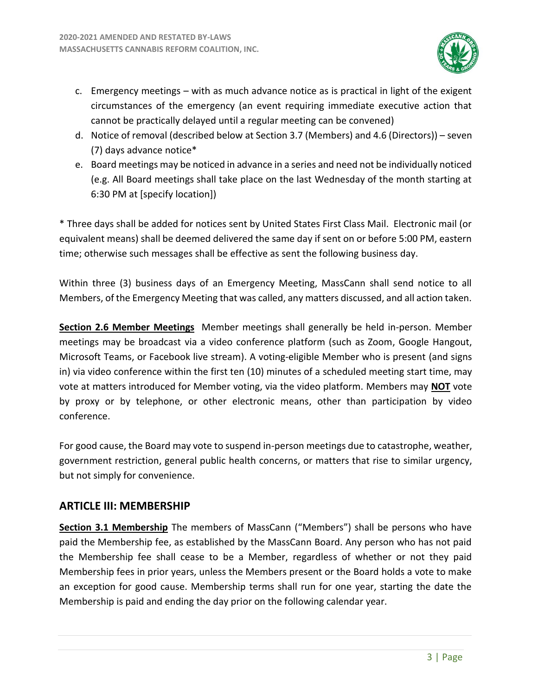

- c. Emergency meetings with as much advance notice as is practical in light of the exigent circumstances of the emergency (an event requiring immediate executive action that cannot be practically delayed until a regular meeting can be convened)
- d. Notice of removal (described below at Section 3.7 (Members) and 4.6 (Directors)) seven (7) days advance notice\*
- e. Board meetings may be noticed in advance in a series and need not be individually noticed (e.g. All Board meetings shall take place on the last Wednesday of the month starting at 6:30 PM at [specify location])

\* Three days shall be added for notices sent by United States First Class Mail. Electronic mail (or equivalent means) shall be deemed delivered the same day if sent on or before 5:00 PM, eastern time; otherwise such messages shall be effective as sent the following business day.

Within three (3) business days of an Emergency Meeting, MassCann shall send notice to all Members, of the Emergency Meeting that was called, any matters discussed, and all action taken.

**Section 2.6 Member Meetings** Member meetings shall generally be held in-person. Member meetings may be broadcast via a video conference platform (such as Zoom, Google Hangout, Microsoft Teams, or Facebook live stream). A voting-eligible Member who is present (and signs in) via video conference within the first ten (10) minutes of a scheduled meeting start time, may vote at matters introduced for Member voting, via the video platform. Members may **NOT** vote by proxy or by telephone, or other electronic means, other than participation by video conference.

For good cause, the Board may vote to suspend in-person meetings due to catastrophe, weather, government restriction, general public health concerns, or matters that rise to similar urgency, but not simply for convenience.

# <span id="page-4-0"></span>**ARTICLE III: MEMBERSHIP**

**Section 3.1 Membership** The members of MassCann ("Members") shall be persons who have paid the Membership fee, as established by the MassCann Board. Any person who has not paid the Membership fee shall cease to be a Member, regardless of whether or not they paid Membership fees in prior years, unless the Members present or the Board holds a vote to make an exception for good cause. Membership terms shall run for one year, starting the date the Membership is paid and ending the day prior on the following calendar year.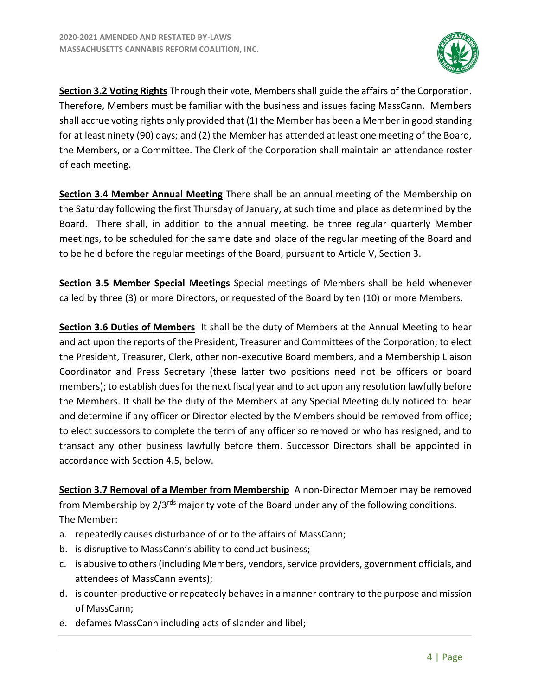

**Section 3.2 Voting Rights** Through their vote, Members shall guide the affairs of the Corporation. Therefore, Members must be familiar with the business and issues facing MassCann. Members shall accrue voting rights only provided that (1) the Member has been a Member in good standing for at least ninety (90) days; and (2) the Member has attended at least one meeting of the Board, the Members, or a Committee. The Clerk of the Corporation shall maintain an attendance roster of each meeting.

**Section 3.4 Member Annual Meeting** There shall be an annual meeting of the Membership on the Saturday following the first Thursday of January, at such time and place as determined by the Board. There shall, in addition to the annual meeting, be three regular quarterly Member meetings, to be scheduled for the same date and place of the regular meeting of the Board and to be held before the regular meetings of the Board, pursuant to Article V, Section 3.

**Section 3.5 Member Special Meetings** Special meetings of Members shall be held whenever called by three (3) or more Directors, or requested of the Board by ten (10) or more Members.

**Section 3.6 Duties of Members** It shall be the duty of Members at the Annual Meeting to hear and act upon the reports of the President, Treasurer and Committees of the Corporation; to elect the President, Treasurer, Clerk, other non-executive Board members, and a Membership Liaison Coordinator and Press Secretary (these latter two positions need not be officers or board members); to establish dues for the next fiscal year and to act upon any resolution lawfully before the Members. It shall be the duty of the Members at any Special Meeting duly noticed to: hear and determine if any officer or Director elected by the Members should be removed from office; to elect successors to complete the term of any officer so removed or who has resigned; and to transact any other business lawfully before them. Successor Directors shall be appointed in accordance with Section 4.5, below.

**Section 3.7 Removal of a Member from Membership** A non-Director Member may be removed from Membership by 2/3<sup>rds</sup> majority vote of the Board under any of the following conditions. The Member:

- a. repeatedly causes disturbance of or to the affairs of MassCann;
- b. is disruptive to MassCann's ability to conduct business;
- c. is abusive to others (including Members, vendors, service providers, government officials, and attendees of MassCann events);
- d. is counter-productive or repeatedly behaves in a manner contrary to the purpose and mission of MassCann;
- e. defames MassCann including acts of slander and libel;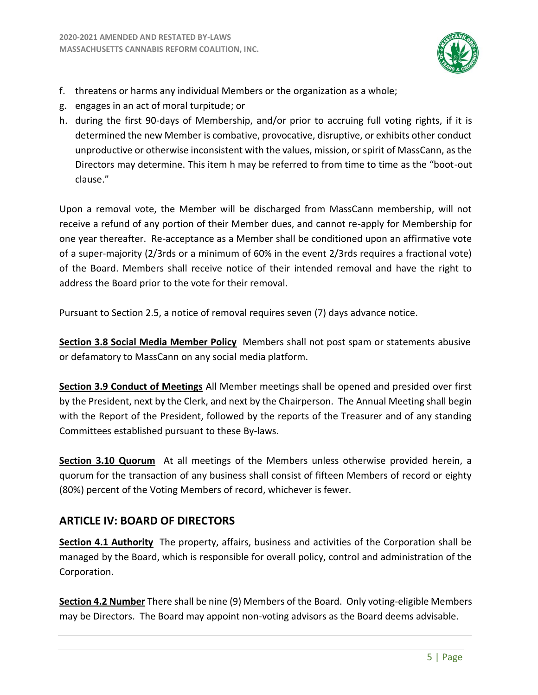

- f. threatens or harms any individual Members or the organization as a whole;
- g. engages in an act of moral turpitude; or
- h. during the first 90-days of Membership, and/or prior to accruing full voting rights, if it is determined the new Member is combative, provocative, disruptive, or exhibits other conduct unproductive or otherwise inconsistent with the values, mission, or spirit of MassCann, as the Directors may determine. This item h may be referred to from time to time as the "boot-out clause."

Upon a removal vote, the Member will be discharged from MassCann membership, will not receive a refund of any portion of their Member dues, and cannot re-apply for Membership for one year thereafter. Re-acceptance as a Member shall be conditioned upon an affirmative vote of a super-majority (2/3rds or a minimum of 60% in the event 2/3rds requires a fractional vote) of the Board. Members shall receive notice of their intended removal and have the right to address the Board prior to the vote for their removal.

Pursuant to Section 2.5, a notice of removal requires seven (7) days advance notice.

**Section 3.8 Social Media Member Policy** Members shall not post spam or statements abusive or defamatory to MassCann on any social media platform.

**Section 3.9 Conduct of Meetings** All Member meetings shall be opened and presided over first by the President, next by the Clerk, and next by the Chairperson. The Annual Meeting shall begin with the Report of the President, followed by the reports of the Treasurer and of any standing Committees established pursuant to these By-laws.

**Section 3.10 Quorum** At all meetings of the Members unless otherwise provided herein, a quorum for the transaction of any business shall consist of fifteen Members of record or eighty (80%) percent of the Voting Members of record, whichever is fewer.

# <span id="page-6-0"></span>**ARTICLE IV: BOARD OF DIRECTORS**

**Section 4.1 Authority** The property, affairs, business and activities of the Corporation shall be managed by the Board, which is responsible for overall policy, control and administration of the Corporation.

**Section 4.2 Number** There shall be nine (9) Members of the Board. Only voting-eligible Members may be Directors. The Board may appoint non-voting advisors as the Board deems advisable.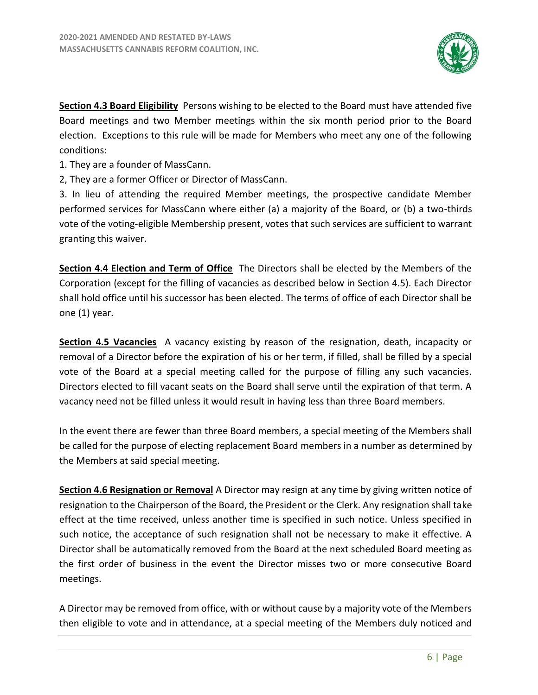

**Section 4.3 Board Eligibility** Persons wishing to be elected to the Board must have attended five Board meetings and two Member meetings within the six month period prior to the Board election. Exceptions to this rule will be made for Members who meet any one of the following conditions:

- 1. They are a founder of MassCann.
- 2, They are a former Officer or Director of MassCann.

3. In lieu of attending the required Member meetings, the prospective candidate Member performed services for MassCann where either (a) a majority of the Board, or (b) a two-thirds vote of the voting-eligible Membership present, votes that such services are sufficient to warrant granting this waiver.

**Section 4.4 Election and Term of Office** The Directors shall be elected by the Members of the Corporation (except for the filling of vacancies as described below in Section 4.5). Each Director shall hold office until his successor has been elected. The terms of office of each Director shall be one (1) year.

**Section 4.5 Vacancies** A vacancy existing by reason of the resignation, death, incapacity or removal of a Director before the expiration of his or her term, if filled, shall be filled by a special vote of the Board at a special meeting called for the purpose of filling any such vacancies. Directors elected to fill vacant seats on the Board shall serve until the expiration of that term. A vacancy need not be filled unless it would result in having less than three Board members.

In the event there are fewer than three Board members, a special meeting of the Members shall be called for the purpose of electing replacement Board members in a number as determined by the Members at said special meeting.

**Section 4.6 Resignation or Removal** A Director may resign at any time by giving written notice of resignation to the Chairperson of the Board, the President or the Clerk. Any resignation shall take effect at the time received, unless another time is specified in such notice. Unless specified in such notice, the acceptance of such resignation shall not be necessary to make it effective. A Director shall be automatically removed from the Board at the next scheduled Board meeting as the first order of business in the event the Director misses two or more consecutive Board meetings.

A Director may be removed from office, with or without cause by a majority vote of the Members then eligible to vote and in attendance, at a special meeting of the Members duly noticed and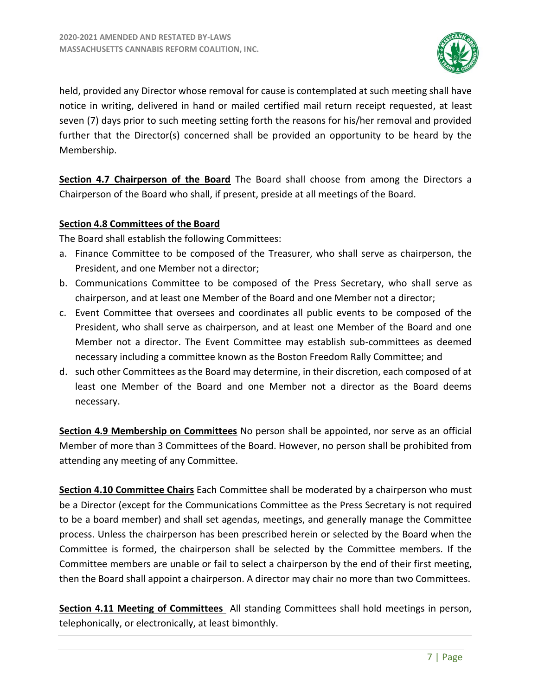

held, provided any Director whose removal for cause is contemplated at such meeting shall have notice in writing, delivered in hand or mailed certified mail return receipt requested, at least seven (7) days prior to such meeting setting forth the reasons for his/her removal and provided further that the Director(s) concerned shall be provided an opportunity to be heard by the Membership.

**Section 4.7 Chairperson of the Board** The Board shall choose from among the Directors a Chairperson of the Board who shall, if present, preside at all meetings of the Board.

#### **Section 4.8 Committees of the Board**

The Board shall establish the following Committees:

- a. Finance Committee to be composed of the Treasurer, who shall serve as chairperson, the President, and one Member not a director;
- b. Communications Committee to be composed of the Press Secretary, who shall serve as chairperson, and at least one Member of the Board and one Member not a director;
- c. Event Committee that oversees and coordinates all public events to be composed of the President, who shall serve as chairperson, and at least one Member of the Board and one Member not a director. The Event Committee may establish sub-committees as deemed necessary including a committee known as the Boston Freedom Rally Committee; and
- d. such other Committees as the Board may determine, in their discretion, each composed of at least one Member of the Board and one Member not a director as the Board deems necessary.

**Section 4.9 Membership on Committees** No person shall be appointed, nor serve as an official Member of more than 3 Committees of the Board. However, no person shall be prohibited from attending any meeting of any Committee.

**Section 4.10 Committee Chairs** Each Committee shall be moderated by a chairperson who must be a Director (except for the Communications Committee as the Press Secretary is not required to be a board member) and shall set agendas, meetings, and generally manage the Committee process. Unless the chairperson has been prescribed herein or selected by the Board when the Committee is formed, the chairperson shall be selected by the Committee members. If the Committee members are unable or fail to select a chairperson by the end of their first meeting, then the Board shall appoint a chairperson. A director may chair no more than two Committees.

**Section 4.11 Meeting of Committees** All standing Committees shall hold meetings in person, telephonically, or electronically, at least bimonthly.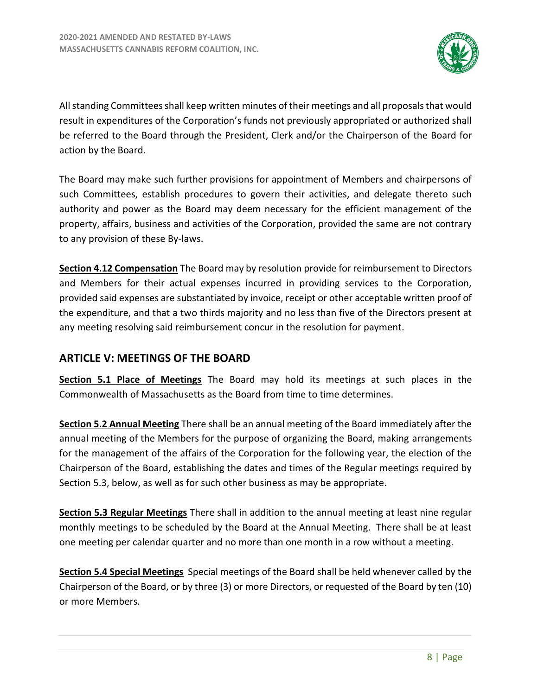

All standing Committees shall keep written minutes of their meetings and all proposals that would result in expenditures of the Corporation's funds not previously appropriated or authorized shall be referred to the Board through the President, Clerk and/or the Chairperson of the Board for action by the Board.

The Board may make such further provisions for appointment of Members and chairpersons of such Committees, establish procedures to govern their activities, and delegate thereto such authority and power as the Board may deem necessary for the efficient management of the property, affairs, business and activities of the Corporation, provided the same are not contrary to any provision of these By-laws.

**Section 4.12 Compensation** The Board may by resolution provide for reimbursement to Directors and Members for their actual expenses incurred in providing services to the Corporation, provided said expenses are substantiated by invoice, receipt or other acceptable written proof of the expenditure, and that a two thirds majority and no less than five of the Directors present at any meeting resolving said reimbursement concur in the resolution for payment.

# <span id="page-9-0"></span>**ARTICLE V: MEETINGS OF THE BOARD**

**Section 5.1 Place of Meetings** The Board may hold its meetings at such places in the Commonwealth of Massachusetts as the Board from time to time determines.

**Section 5.2 Annual Meeting** There shall be an annual meeting of the Board immediately after the annual meeting of the Members for the purpose of organizing the Board, making arrangements for the management of the affairs of the Corporation for the following year, the election of the Chairperson of the Board, establishing the dates and times of the Regular meetings required by Section 5.3, below, as well as for such other business as may be appropriate.

**Section 5.3 Regular Meetings** There shall in addition to the annual meeting at least nine regular monthly meetings to be scheduled by the Board at the Annual Meeting. There shall be at least one meeting per calendar quarter and no more than one month in a row without a meeting.

**Section 5.4 Special Meetings** Special meetings of the Board shall be held whenever called by the Chairperson of the Board, or by three (3) or more Directors, or requested of the Board by ten (10) or more Members.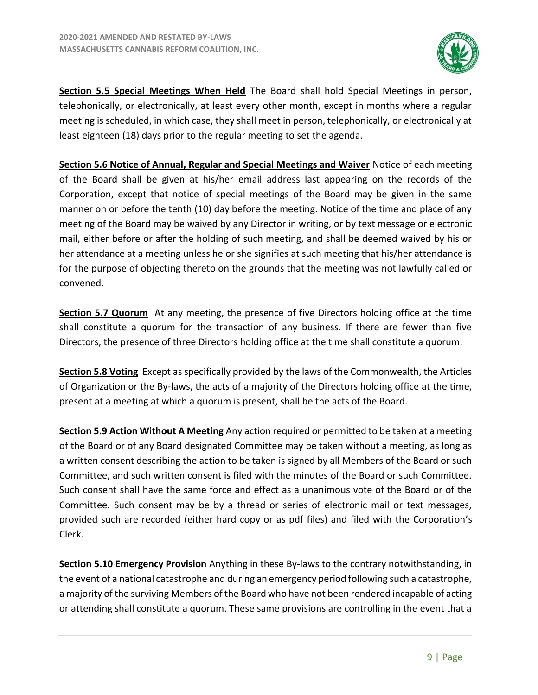

**Section 5.5 Special Meetings When Held** The Board shall hold Special Meetings in person, telephonically, or electronically, at least every other month, except in months where a regular meeting is scheduled, in which case, they shall meet in person, telephonically, or electronically at least eighteen (18) days prior to the regular meeting to set the agenda.

**Section 5.6 Notice of Annual, Regular and Special Meetings and Waiver** Notice of each meeting of the Board shall be given at his/her email address last appearing on the records of the Corporation, except that notice of special meetings of the Board may be given in the same manner on or before the tenth (10) day before the meeting. Notice of the time and place of any meeting of the Board may be waived by any Director in writing, or by text message or electronic mail, either before or after the holding of such meeting, and shall be deemed waived by his or her attendance at a meeting unless he or she signifies at such meeting that his/her attendance is for the purpose of objecting thereto on the grounds that the meeting was not lawfully called or convened.

**Section 5.7 Quorum** At any meeting, the presence of five Directors holding office at the time shall constitute a quorum for the transaction of any business. If there are fewer than five Directors, the presence of three Directors holding office at the time shall constitute a quorum.

**Section 5.8 Voting** Except as specifically provided by the laws of the Commonwealth, the Articles of Organization or the By-laws, the acts of a majority of the Directors holding office at the time, present at a meeting at which a quorum is present, shall be the acts of the Board.

**Section 5.9 Action Without A Meeting** Any action required or permitted to be taken at a meeting of the Board or of any Board designated Committee may be taken without a meeting, as long as a written consent describing the action to be taken is signed by all Members of the Board or such Committee, and such written consent is filed with the minutes of the Board or such Committee. Such consent shall have the same force and effect as a unanimous vote of the Board or of the Committee. Such consent may be by a thread or series of electronic mail or text messages, provided such are recorded (either hard copy or as pdf files) and filed with the Corporation's Clerk.

**Section 5.10 Emergency Provision** Anything in these By-laws to the contrary notwithstanding, in the event of a national catastrophe and during an emergency period following such a catastrophe, a majority of the surviving Members of the Board who have not been rendered incapable of acting or attending shall constitute a quorum. These same provisions are controlling in the event that a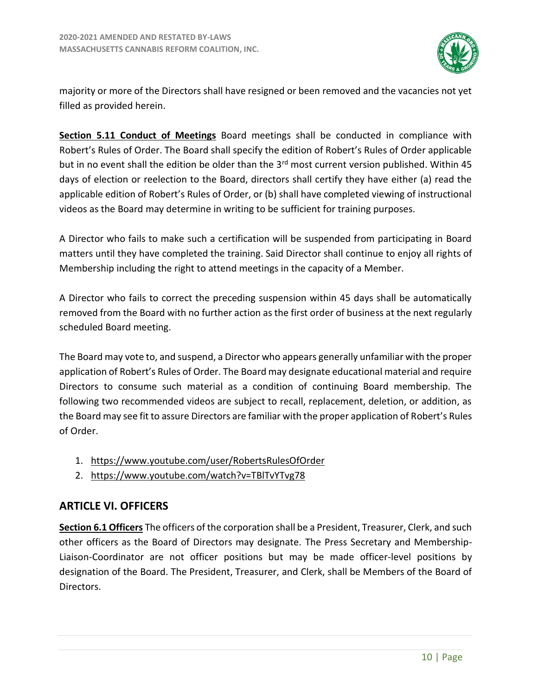

majority or more of the Directors shall have resigned or been removed and the vacancies not yet filled as provided herein.

**Section 5.11 Conduct of Meetings** Board meetings shall be conducted in compliance with Robert's Rules of Order. The Board shall specify the edition of Robert's Rules of Order applicable but in no event shall the edition be older than the 3<sup>rd</sup> most current version published. Within 45 days of election or reelection to the Board, directors shall certify they have either (a) read the applicable edition of Robert's Rules of Order, or (b) shall have completed viewing of instructional videos as the Board may determine in writing to be sufficient for training purposes.

A Director who fails to make such a certification will be suspended from participating in Board matters until they have completed the training. Said Director shall continue to enjoy all rights of Membership including the right to attend meetings in the capacity of a Member.

A Director who fails to correct the preceding suspension within 45 days shall be automatically removed from the Board with no further action as the first order of business at the next regularly scheduled Board meeting.

The Board may vote to, and suspend, a Director who appears generally unfamiliar with the proper application of Robert's Rules of Order. The Board may designate educational material and require Directors to consume such material as a condition of continuing Board membership. The following two recommended videos are subject to recall, replacement, deletion, or addition, as the Board may see fit to assure Directors are familiar with the proper application of Robert's Rules of Order.

- 1. https://www.youtube.com/user/RobertsRulesOfOrder
- 2. https://www.youtube.com/watch?v=TBlTvYTvg78

# <span id="page-11-0"></span>**ARTICLE VI. OFFICERS**

**Section 6.1 Officers** The officers of the corporation shall be a President, Treasurer, Clerk, and such other officers as the Board of Directors may designate. The Press Secretary and Membership-Liaison-Coordinator are not officer positions but may be made officer-level positions by designation of the Board. The President, Treasurer, and Clerk, shall be Members of the Board of Directors.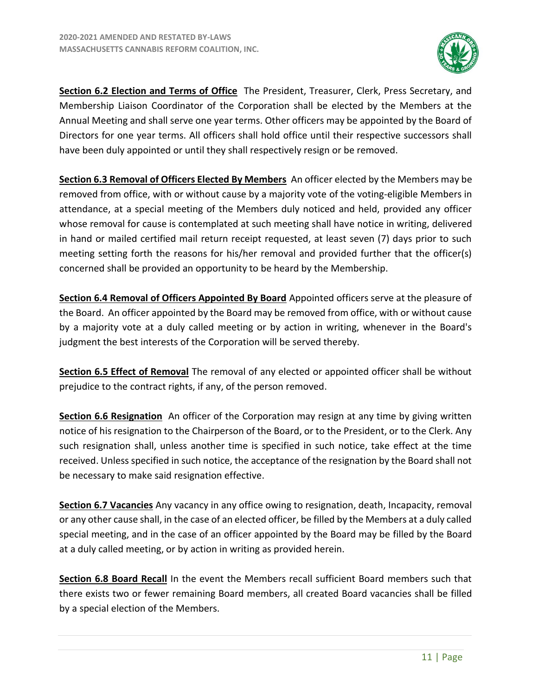

**Section 6.2 Election and Terms of Office** The President, Treasurer, Clerk, Press Secretary, and Membership Liaison Coordinator of the Corporation shall be elected by the Members at the Annual Meeting and shall serve one year terms. Other officers may be appointed by the Board of Directors for one year terms. All officers shall hold office until their respective successors shall have been duly appointed or until they shall respectively resign or be removed.

**Section 6.3 Removal of Officers Elected By Members** An officer elected by the Members may be removed from office, with or without cause by a majority vote of the voting-eligible Members in attendance, at a special meeting of the Members duly noticed and held, provided any officer whose removal for cause is contemplated at such meeting shall have notice in writing, delivered in hand or mailed certified mail return receipt requested, at least seven (7) days prior to such meeting setting forth the reasons for his/her removal and provided further that the officer(s) concerned shall be provided an opportunity to be heard by the Membership.

**Section 6.4 Removal of Officers Appointed By Board** Appointed officers serve at the pleasure of the Board. An officer appointed by the Board may be removed from office, with or without cause by a majority vote at a duly called meeting or by action in writing, whenever in the Board's judgment the best interests of the Corporation will be served thereby.

**Section 6.5 Effect of Removal** The removal of any elected or appointed officer shall be without prejudice to the contract rights, if any, of the person removed.

**Section 6.6 Resignation** An officer of the Corporation may resign at any time by giving written notice of his resignation to the Chairperson of the Board, or to the President, or to the Clerk. Any such resignation shall, unless another time is specified in such notice, take effect at the time received. Unless specified in such notice, the acceptance of the resignation by the Board shall not be necessary to make said resignation effective.

**Section 6.7 Vacancies** Any vacancy in any office owing to resignation, death, Incapacity, removal or any other cause shall, in the case of an elected officer, be filled by the Members at a duly called special meeting, and in the case of an officer appointed by the Board may be filled by the Board at a duly called meeting, or by action in writing as provided herein.

**Section 6.8 Board Recall** In the event the Members recall sufficient Board members such that there exists two or fewer remaining Board members, all created Board vacancies shall be filled by a special election of the Members.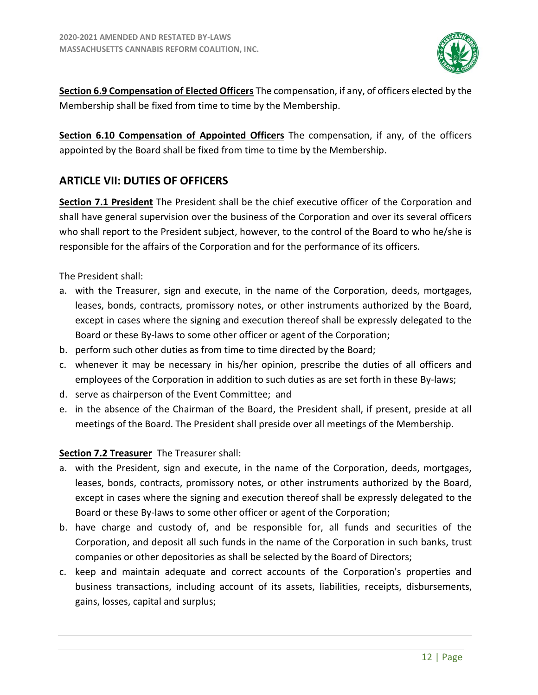

**Section 6.9 Compensation of Elected Officers** The compensation, if any, of officers elected by the Membership shall be fixed from time to time by the Membership.

**Section 6.10 Compensation of Appointed Officers** The compensation, if any, of the officers appointed by the Board shall be fixed from time to time by the Membership.

# <span id="page-13-0"></span>**ARTICLE VII: DUTIES OF OFFICERS**

**Section 7.1 President** The President shall be the chief executive officer of the Corporation and shall have general supervision over the business of the Corporation and over its several officers who shall report to the President subject, however, to the control of the Board to who he/she is responsible for the affairs of the Corporation and for the performance of its officers.

The President shall:

- a. with the Treasurer, sign and execute, in the name of the Corporation, deeds, mortgages, leases, bonds, contracts, promissory notes, or other instruments authorized by the Board, except in cases where the signing and execution thereof shall be expressly delegated to the Board or these By-laws to some other officer or agent of the Corporation;
- b. perform such other duties as from time to time directed by the Board;
- c. whenever it may be necessary in his/her opinion, prescribe the duties of all officers and employees of the Corporation in addition to such duties as are set forth in these By-laws;
- d. serve as chairperson of the Event Committee; and
- e. in the absence of the Chairman of the Board, the President shall, if present, preside at all meetings of the Board. The President shall preside over all meetings of the Membership.

#### **Section 7.2 Treasurer** The Treasurer shall:

- a. with the President, sign and execute, in the name of the Corporation, deeds, mortgages, leases, bonds, contracts, promissory notes, or other instruments authorized by the Board, except in cases where the signing and execution thereof shall be expressly delegated to the Board or these By-laws to some other officer or agent of the Corporation;
- b. have charge and custody of, and be responsible for, all funds and securities of the Corporation, and deposit all such funds in the name of the Corporation in such banks, trust companies or other depositories as shall be selected by the Board of Directors;
- c. keep and maintain adequate and correct accounts of the Corporation's properties and business transactions, including account of its assets, liabilities, receipts, disbursements, gains, losses, capital and surplus;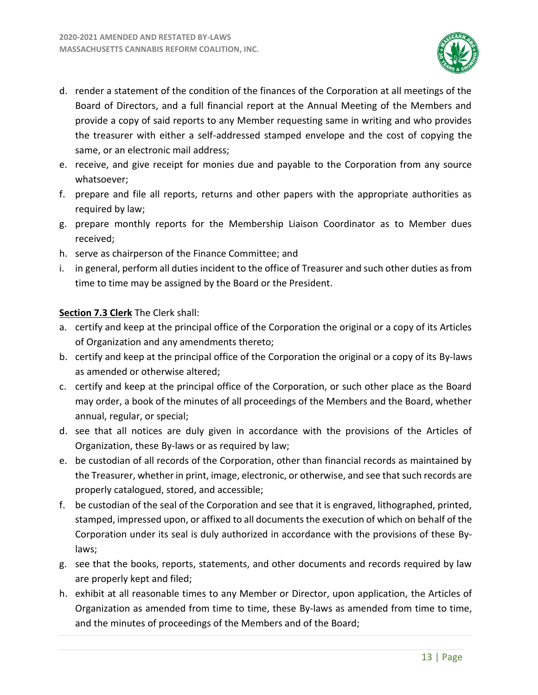

- d. render a statement of the condition of the finances of the Corporation at all meetings of the Board of Directors, and a full financial report at the Annual Meeting of the Members and provide a copy of said reports to any Member requesting same in writing and who provides the treasurer with either a self-addressed stamped envelope and the cost of copying the same, or an electronic mail address;
- e. receive, and give receipt for monies due and payable to the Corporation from any source whatsoever;
- f. prepare and file all reports, returns and other papers with the appropriate authorities as required by law;
- g. prepare monthly reports for the Membership Liaison Coordinator as to Member dues received;
- h. serve as chairperson of the Finance Committee; and
- i. in general, perform all duties incident to the office of Treasurer and such other duties as from time to time may be assigned by the Board or the President.

#### **Section 7.3 Clerk** The Clerk shall:

- a. certify and keep at the principal office of the Corporation the original or a copy of its Articles of Organization and any amendments thereto;
- b. certify and keep at the principal office of the Corporation the original or a copy of its By-laws as amended or otherwise altered;
- c. certify and keep at the principal office of the Corporation, or such other place as the Board may order, a book of the minutes of all proceedings of the Members and the Board, whether annual, regular, or special;
- d. see that all notices are duly given in accordance with the provisions of the Articles of Organization, these By-laws or as required by law;
- e. be custodian of all records of the Corporation, other than financial records as maintained by the Treasurer, whether in print, image, electronic, or otherwise, and see that such records are properly catalogued, stored, and accessible;
- f. be custodian of the seal of the Corporation and see that it is engraved, lithographed, printed, stamped, impressed upon, or affixed to all documents the execution of which on behalf of the Corporation under its seal is duly authorized in accordance with the provisions of these Bylaws;
- g. see that the books, reports, statements, and other documents and records required by law are properly kept and filed;
- h. exhibit at all reasonable times to any Member or Director, upon application, the Articles of Organization as amended from time to time, these By-laws as amended from time to time, and the minutes of proceedings of the Members and of the Board;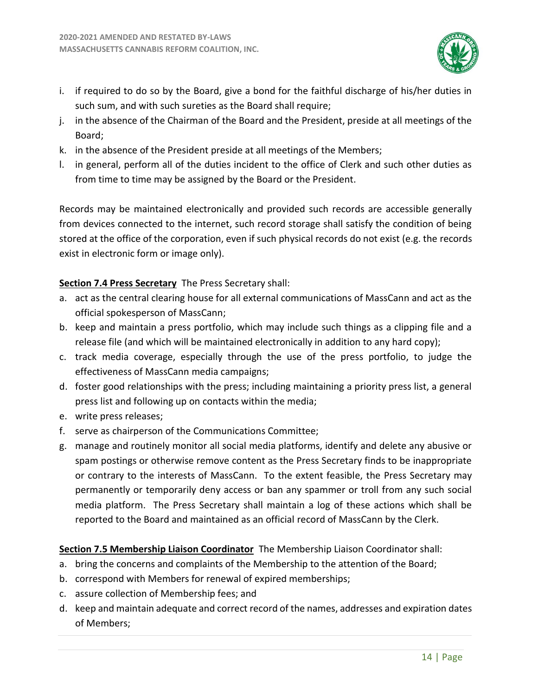

- i. if required to do so by the Board, give a bond for the faithful discharge of his/her duties in such sum, and with such sureties as the Board shall require;
- j. in the absence of the Chairman of the Board and the President, preside at all meetings of the Board;
- k. in the absence of the President preside at all meetings of the Members;
- l. in general, perform all of the duties incident to the office of Clerk and such other duties as from time to time may be assigned by the Board or the President.

Records may be maintained electronically and provided such records are accessible generally from devices connected to the internet, such record storage shall satisfy the condition of being stored at the office of the corporation, even if such physical records do not exist (e.g. the records exist in electronic form or image only).

#### **Section 7.4 Press Secretary** The Press Secretary shall:

- a. act as the central clearing house for all external communications of MassCann and act as the official spokesperson of MassCann;
- b. keep and maintain a press portfolio, which may include such things as a clipping file and a release file (and which will be maintained electronically in addition to any hard copy);
- c. track media coverage, especially through the use of the press portfolio, to judge the effectiveness of MassCann media campaigns;
- d. foster good relationships with the press; including maintaining a priority press list, a general press list and following up on contacts within the media;
- e. write press releases;
- f. serve as chairperson of the Communications Committee;
- g. manage and routinely monitor all social media platforms, identify and delete any abusive or spam postings or otherwise remove content as the Press Secretary finds to be inappropriate or contrary to the interests of MassCann. To the extent feasible, the Press Secretary may permanently or temporarily deny access or ban any spammer or troll from any such social media platform. The Press Secretary shall maintain a log of these actions which shall be reported to the Board and maintained as an official record of MassCann by the Clerk.

#### **Section 7.5 Membership Liaison Coordinator** The Membership Liaison Coordinator shall:

- a. bring the concerns and complaints of the Membership to the attention of the Board;
- b. correspond with Members for renewal of expired memberships;
- c. assure collection of Membership fees; and
- d. keep and maintain adequate and correct record of the names, addresses and expiration dates of Members;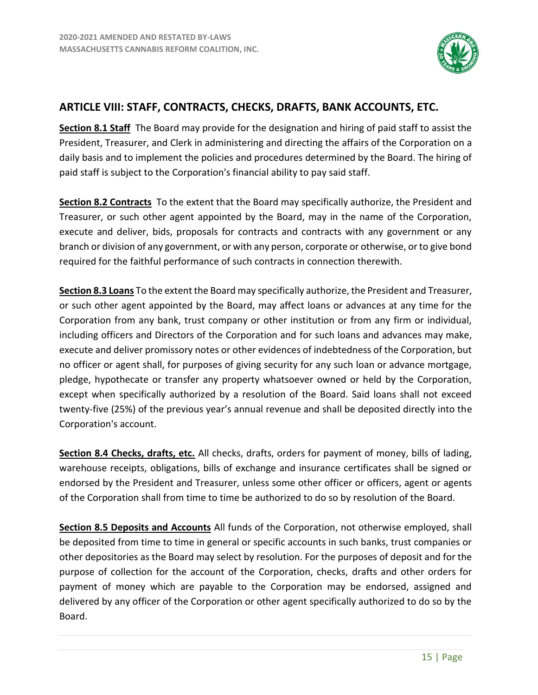

# <span id="page-16-0"></span>**ARTICLE VIII: STAFF, CONTRACTS, CHECKS, DRAFTS, BANK ACCOUNTS, ETC.**

**Section 8.1 Staff** The Board may provide for the designation and hiring of paid staff to assist the President, Treasurer, and Clerk in administering and directing the affairs of the Corporation on a daily basis and to implement the policies and procedures determined by the Board. The hiring of paid staff is subject to the Corporation's financial ability to pay said staff.

**Section 8.2 Contracts** To the extent that the Board may specifically authorize, the President and Treasurer, or such other agent appointed by the Board, may in the name of the Corporation, execute and deliver, bids, proposals for contracts and contracts with any government or any branch or division of any government, or with any person, corporate or otherwise, or to give bond required for the faithful performance of such contracts in connection therewith.

**Section 8.3 Loans** To the extent the Board may specifically authorize, the President and Treasurer, or such other agent appointed by the Board, may affect loans or advances at any time for the Corporation from any bank, trust company or other institution or from any firm or individual, including officers and Directors of the Corporation and for such loans and advances may make, execute and deliver promissory notes or other evidences of indebtedness of the Corporation, but no officer or agent shall, for purposes of giving security for any such loan or advance mortgage, pledge, hypothecate or transfer any property whatsoever owned or held by the Corporation, except when specifically authorized by a resolution of the Board. Said loans shall not exceed twenty-five (25%) of the previous year's annual revenue and shall be deposited directly into the Corporation's account.

**Section 8.4 Checks, drafts, etc.** All checks, drafts, orders for payment of money, bills of lading, warehouse receipts, obligations, bills of exchange and insurance certificates shall be signed or endorsed by the President and Treasurer, unless some other officer or officers, agent or agents of the Corporation shall from time to time be authorized to do so by resolution of the Board.

**Section 8.5 Deposits and Accounts** All funds of the Corporation, not otherwise employed, shall be deposited from time to time in general or specific accounts in such banks, trust companies or other depositories as the Board may select by resolution. For the purposes of deposit and for the purpose of collection for the account of the Corporation, checks, drafts and other orders for payment of money which are payable to the Corporation may be endorsed, assigned and delivered by any officer of the Corporation or other agent specifically authorized to do so by the Board.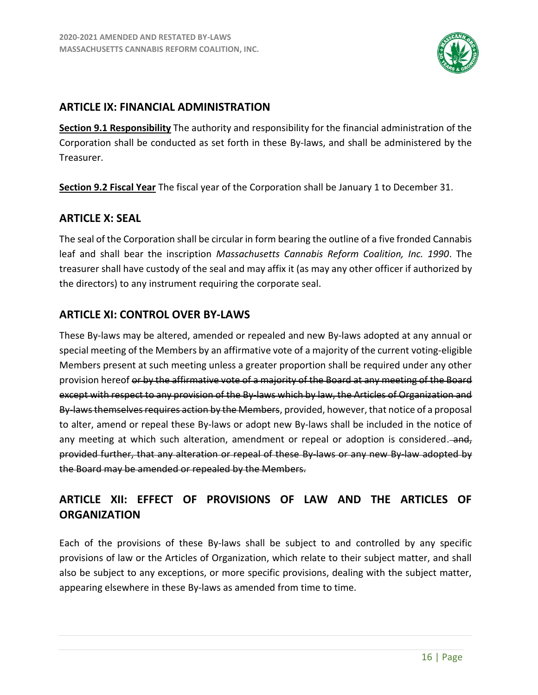

# <span id="page-17-0"></span>**ARTICLE IX: FINANCIAL ADMINISTRATION**

**Section 9.1 Responsibility** The authority and responsibility for the financial administration of the Corporation shall be conducted as set forth in these By-laws, and shall be administered by the Treasurer.

**Section 9.2 Fiscal Year** The fiscal year of the Corporation shall be January 1 to December 31.

#### <span id="page-17-1"></span>**ARTICLE X: SEAL**

The seal of the Corporation shall be circular in form bearing the outline of a five fronded Cannabis leaf and shall bear the inscription *Massachusetts Cannabis Reform Coalition, Inc. 1990*. The treasurer shall have custody of the seal and may affix it (as may any other officer if authorized by the directors) to any instrument requiring the corporate seal.

# <span id="page-17-2"></span>**ARTICLE XI: CONTROL OVER BY-LAWS**

These By-laws may be altered, amended or repealed and new By-laws adopted at any annual or special meeting of the Members by an affirmative vote of a majority of the current voting-eligible Members present at such meeting unless a greater proportion shall be required under any other provision hereof or by the affirmative vote of a majority of the Board at any meeting of the Board except with respect to any provision of the By-laws which by law, the Articles of Organization and By-laws themselves requires action by the Members, provided, however, that notice of a proposal to alter, amend or repeal these By-laws or adopt new By-laws shall be included in the notice of any meeting at which such alteration, amendment or repeal or adoption is considered. provided further, that any alteration or repeal of these By-laws or any new By-law adopted by the Board may be amended or repealed by the Members.

# <span id="page-17-3"></span>**ARTICLE XII: EFFECT OF PROVISIONS OF LAW AND THE ARTICLES OF ORGANIZATION**

Each of the provisions of these By-laws shall be subject to and controlled by any specific provisions of law or the Articles of Organization, which relate to their subject matter, and shall also be subject to any exceptions, or more specific provisions, dealing with the subject matter, appearing elsewhere in these By-laws as amended from time to time.